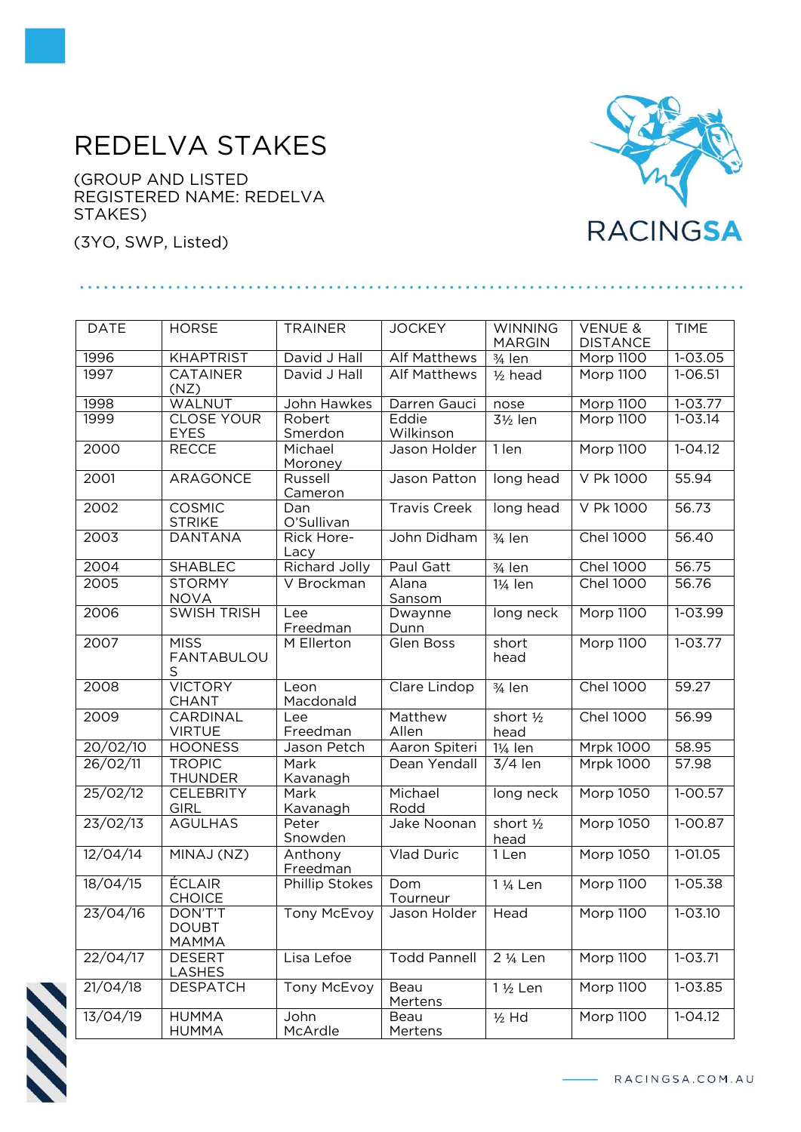## REDELVA STAKES

(GROUP AND LISTED REGISTERED NAME: REDELVA STAKES)

(3YO, SWP, Listed)



| <b>DATE</b>          | <b>HORSE</b>                            | <b>TRAINER</b>       | <b>JOCKEY</b>       | <b>WINNING</b><br><b>MARGIN</b> | <b>VENUE &amp;</b><br><b>DISTANCE</b> | <b>TIME</b>        |
|----------------------|-----------------------------------------|----------------------|---------------------|---------------------------------|---------------------------------------|--------------------|
| 1996                 | <b>KHAPTRIST</b>                        | David J Hall         | <b>Alf Matthews</b> | $\frac{3}{4}$ len               | Morp 1100                             | $1 - 03.05$        |
| 1997                 | <b>CATAINER</b><br>(NZ)                 | David J Hall         | <b>Alf Matthews</b> | $1/2$ head                      | <b>Morp 1100</b>                      | $1 - 06.51$        |
| 1998                 | WALNUT                                  | John Hawkes          | Darren Gauci        | nose                            | Morp 1100                             | $1 - 03.77$        |
| 1999                 | <b>CLOSE YOUR</b><br><b>EYES</b>        | Robert<br>Smerdon    | Eddie<br>Wilkinson  | 3½ len                          | Morp 1100                             | $1 - 03.14$        |
| 2000                 | <b>RECCE</b>                            | Michael<br>Moroney   | Jason Holder        | 1 len                           | Morp 1100                             | $1 - 04.12$        |
| 2001                 | <b>ARAGONCE</b>                         | Russell<br>Cameron   | Jason Patton        | long head                       | V Pk 1000                             | 55.94              |
| 2002                 | <b>COSMIC</b><br><b>STRIKE</b>          | Dan<br>O'Sullivan    | <b>Travis Creek</b> | long head                       | V Pk 1000                             | 56.73              |
| 2003                 | <b>DANTANA</b>                          | Rick Hore-<br>Lacy   | John Didham         | $\frac{3}{4}$ len               | <b>Chel 1000</b>                      | 56.40              |
| 2004                 | <b>SHABLEC</b>                          | <b>Richard Jolly</b> | Paul Gatt           | 3/ <sub>4</sub> len             | <b>Chel 1000</b>                      | 56.75              |
| 2005                 | <b>STORMY</b><br><b>NOVA</b>            | V Brockman           | Alana<br>Sansom     | 1¼ len                          | <b>Chel 1000</b>                      | $\overline{56.76}$ |
| 2006                 | <b>SWISH TRISH</b>                      | Lee<br>Freedman      | Dwaynne<br>Dunn     | long neck                       | <b>Morp 1100</b>                      | $1 - 03.99$        |
| 2007                 | <b>MISS</b><br><b>FANTABULOU</b><br>S   | M Ellerton           | Glen Boss           | short<br>head                   | <b>Morp 1100</b>                      | $1 - 03.77$        |
| 2008                 | <b>VICTORY</b><br><b>CHANT</b>          | Leon<br>Macdonald    | Clare Lindop        | 3/ <sub>4</sub> len             | <b>Chel 1000</b>                      | 59.27              |
| 2009                 | CARDINAL<br><b>VIRTUE</b>               | Lee<br>Freedman      | Matthew<br>Allen    | short 1/2<br>head               | <b>Chel 1000</b>                      | 56.99              |
| 20/02/10             | <b>HOONESS</b>                          | Jason Petch          | Aaron Spiteri       | 1¼ len                          | <b>Mrpk 1000</b>                      | 58.95              |
| 26/02/11             | <b>TROPIC</b><br><b>THUNDER</b>         | Mark<br>Kavanagh     | Dean Yendall        | $3/4$ len                       | <b>Mrpk 1000</b>                      | 57.98              |
| 25/02/12             | <b>CELEBRITY</b><br><b>GIRL</b>         | Mark<br>Kavanagh     | Michael<br>Rodd     | long neck                       | Morp 1050                             | $1-00.57$          |
| 23/02/13             | <b>AGULHAS</b>                          | Peter                | Jake Noonan         | short $\frac{1}{2}$             | Morp 1050                             | $1 - 00.87$        |
| 12/04/14             |                                         | Snowden              |                     | head                            |                                       |                    |
|                      | MINAJ (NZ)                              | Anthony<br>Freedman  | <b>Vlad Duric</b>   | 1 Len                           | Morp 1050                             | 1-01.05            |
| 18/04/15             | <b>ÉCLAIR</b><br><b>CHOICE</b>          | Phillip Stokes       | Dom<br>Tourneur     | 1 1/ <sub>4</sub> Len           | Morp 1100                             | 1-05.38            |
| 23/04/16             | DON'T'T<br><b>DOUBT</b><br><b>MAMMA</b> | <b>Tony McEvoy</b>   | Jason Holder   Head |                                 | Morp 1100                             | $1 - 03.10$        |
| 22/04/17             | <b>DESERT</b><br><b>LASHES</b>          | Lisa Lefoe           | <b>Todd Pannell</b> | 2 1/ <sub>4</sub> Len           | Morp 1100                             | $1 - 03.71$        |
| 21/04/18<br>13/04/19 | <b>DESPATCH</b>                         | Tony McEvoy          | Beau<br>Mertens     | 1 1/2 Len                       | <b>Morp 1100</b><br><b>Morp 1100</b>  | 1-03.85            |